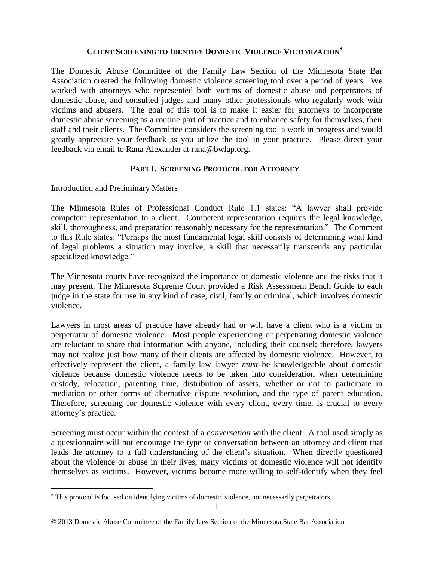# **CLIENT SCREENING TO IDENTIFY DOMESTIC VIOLENCE VICTIMIZATION**

The Domestic Abuse Committee of the Family Law Section of the Minnesota State Bar Association created the following domestic violence screening tool over a period of years. We worked with attorneys who represented both victims of domestic abuse and perpetrators of domestic abuse, and consulted judges and many other professionals who regularly work with victims and abusers. The goal of this tool is to make it easier for attorneys to incorporate domestic abuse screening as a routine part of practice and to enhance safety for themselves, their staff and their clients. The Committee considers the screening tool a work in progress and would greatly appreciate your feedback as you utilize the tool in your practice. Please direct your feedback via email to Rana Alexander at rana@bwlap.org.

### **PART I. SCREENING PROTOCOL FOR ATTORNEY**

### Introduction and Preliminary Matters

 $\overline{a}$ 

The Minnesota Rules of Professional Conduct Rule 1.1 states: "A lawyer shall provide competent representation to a client. Competent representation requires the legal knowledge, skill, thoroughness, and preparation reasonably necessary for the representation." The Comment to this Rule states: "Perhaps the most fundamental legal skill consists of determining what kind of legal problems a situation may involve, a skill that necessarily transcends any particular specialized knowledge."

The Minnesota courts have recognized the importance of domestic violence and the risks that it may present. The Minnesota Supreme Court provided a Risk Assessment Bench Guide to each judge in the state for use in any kind of case, civil, family or criminal, which involves domestic violence.

Lawyers in most areas of practice have already had or will have a client who is a victim or perpetrator of domestic violence. Most people experiencing or perpetrating domestic violence are reluctant to share that information with anyone, including their counsel; therefore, lawyers may not realize just how many of their clients are affected by domestic violence. However, to effectively represent the client, a family law lawyer *must* be knowledgeable about domestic violence because domestic violence needs to be taken into consideration when determining custody, relocation, parenting time, distribution of assets, whether or not to participate in mediation or other forms of alternative dispute resolution, and the type of parent education. Therefore, screening for domestic violence with every client, every time, is crucial to every attorney's practice.

Screening must occur within the context of a *conversation* with the client. A tool used simply as a questionnaire will not encourage the type of conversation between an attorney and client that leads the attorney to a full understanding of the client's situation. When directly questioned about the violence or abuse in their lives, many victims of domestic violence will not identify themselves as victims. However, victims become more willing to self-identify when they feel

This protocol is focused on identifying victims of domestic violence, not necessarily perpetrators.

<sup>© 2013</sup> Domestic Abuse Committee of the Family Law Section of the Minnesota State Bar Association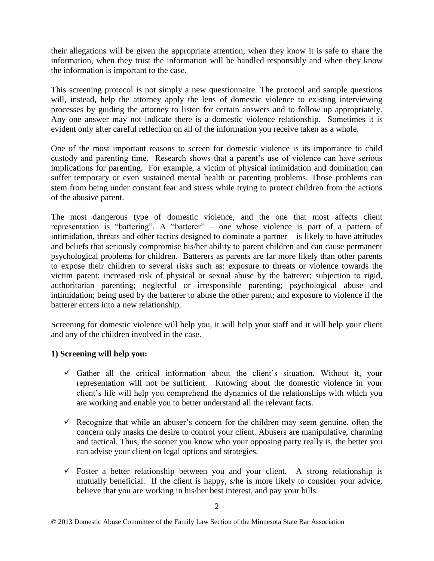their allegations will be given the appropriate attention, when they know it is safe to share the information, when they trust the information will be handled responsibly and when they know the information is important to the case.

This screening protocol is not simply a new questionnaire. The protocol and sample questions will, instead, help the attorney apply the lens of domestic violence to existing interviewing processes by guiding the attorney to listen for certain answers and to follow up appropriately. Any one answer may not indicate there is a domestic violence relationship. Sometimes it is evident only after careful reflection on all of the information you receive taken as a whole.

One of the most important reasons to screen for domestic violence is its importance to child custody and parenting time. Research shows that a parent's use of violence can have serious implications for parenting. For example, a victim of physical intimidation and domination can suffer temporary or even sustained mental health or parenting problems. Those problems can stem from being under constant fear and stress while trying to protect children from the actions of the abusive parent.

The most dangerous type of domestic violence, and the one that most affects client representation is "battering". A "batterer" – one whose violence is part of a pattern of intimidation, threats and other tactics designed to dominate a partner – is likely to have attitudes and beliefs that seriously compromise his/her ability to parent children and can cause permanent psychological problems for children. Batterers as parents are far more likely than other parents to expose their children to several risks such as: exposure to threats or violence towards the victim parent; increased risk of physical or sexual abuse by the batterer; subjection to rigid, authoritarian parenting; neglectful or irresponsible parenting; psychological abuse and intimidation; being used by the batterer to abuse the other parent; and exposure to violence if the batterer enters into a new relationship.

Screening for domestic violence will help you, it will help your staff and it will help your client and any of the children involved in the case.

# **1) Screening will help you:**

- $\checkmark$  Gather all the critical information about the client's situation. Without it, your representation will not be sufficient. Knowing about the domestic violence in your client's life will help you comprehend the dynamics of the relationships with which you are working and enable you to better understand all the relevant facts.
- $\checkmark$  Recognize that while an abuser's concern for the children may seem genuine, often the concern only masks the desire to control your client. Abusers are manipulative, charming and tactical. Thus, the sooner you know who your opposing party really is, the better you can advise your client on legal options and strategies.
- $\checkmark$  Foster a better relationship between you and your client. A strong relationship is mutually beneficial. If the client is happy, s/he is more likely to consider your advice, believe that you are working in his/her best interest, and pay your bills.

<sup>© 2013</sup> Domestic Abuse Committee of the Family Law Section of the Minnesota State Bar Association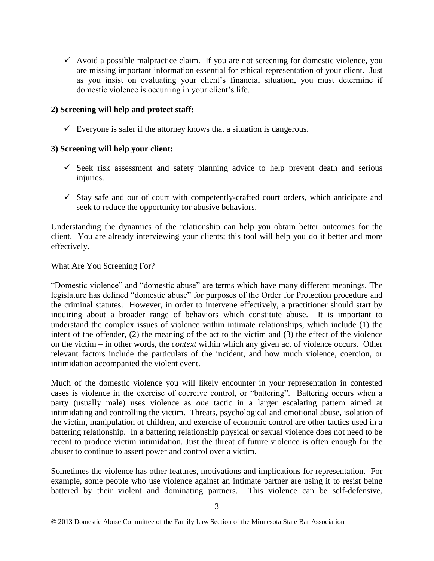$\checkmark$  Avoid a possible malpractice claim. If you are not screening for domestic violence, you are missing important information essential for ethical representation of your client. Just as you insist on evaluating your client's financial situation, you must determine if domestic violence is occurring in your client's life.

### **2) Screening will help and protect staff:**

 $\checkmark$  Everyone is safer if the attorney knows that a situation is dangerous.

### **3) Screening will help your client:**

- $\checkmark$  Seek risk assessment and safety planning advice to help prevent death and serious injuries.
- $\checkmark$  Stay safe and out of court with competently-crafted court orders, which anticipate and seek to reduce the opportunity for abusive behaviors.

Understanding the dynamics of the relationship can help you obtain better outcomes for the client. You are already interviewing your clients; this tool will help you do it better and more effectively.

### What Are You Screening For?

"Domestic violence" and "domestic abuse" are terms which have many different meanings. The legislature has defined "domestic abuse" for purposes of the Order for Protection procedure and the criminal statutes. However, in order to intervene effectively, a practitioner should start by inquiring about a broader range of behaviors which constitute abuse. It is important to understand the complex issues of violence within intimate relationships, which include (1) the intent of the offender, (2) the meaning of the act to the victim and (3) the effect of the violence on the victim – in other words, the *context* within which any given act of violence occurs. Other relevant factors include the particulars of the incident, and how much violence, coercion, or intimidation accompanied the violent event.

Much of the domestic violence you will likely encounter in your representation in contested cases is violence in the exercise of coercive control, or "battering". Battering occurs when a party (usually male) uses violence as *one* tactic in a larger escalating pattern aimed at intimidating and controlling the victim. Threats, psychological and emotional abuse, isolation of the victim, manipulation of children, and exercise of economic control are other tactics used in a battering relationship. In a battering relationship physical or sexual violence does not need to be recent to produce victim intimidation. Just the threat of future violence is often enough for the abuser to continue to assert power and control over a victim.

Sometimes the violence has other features, motivations and implications for representation. For example, some people who use violence against an intimate partner are using it to resist being battered by their violent and dominating partners. This violence can be self-defensive,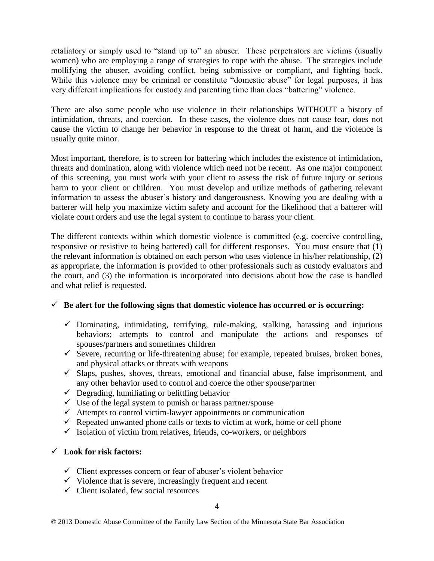retaliatory or simply used to "stand up to" an abuser. These perpetrators are victims (usually women) who are employing a range of strategies to cope with the abuse. The strategies include mollifying the abuser, avoiding conflict, being submissive or compliant, and fighting back. While this violence may be criminal or constitute "domestic abuse" for legal purposes, it has very different implications for custody and parenting time than does "battering" violence.

There are also some people who use violence in their relationships WITHOUT a history of intimidation, threats, and coercion. In these cases, the violence does not cause fear, does not cause the victim to change her behavior in response to the threat of harm, and the violence is usually quite minor.

Most important, therefore, is to screen for battering which includes the existence of intimidation, threats and domination, along with violence which need not be recent. As one major component of this screening, you must work with your client to assess the risk of future injury or serious harm to your client or children. You must develop and utilize methods of gathering relevant information to assess the abuser's history and dangerousness. Knowing you are dealing with a batterer will help you maximize victim safety and account for the likelihood that a batterer will violate court orders and use the legal system to continue to harass your client.

The different contexts within which domestic violence is committed (e.g. coercive controlling, responsive or resistive to being battered) call for different responses. You must ensure that (1) the relevant information is obtained on each person who uses violence in his/her relationship, (2) as appropriate, the information is provided to other professionals such as custody evaluators and the court, and (3) the information is incorporated into decisions about how the case is handled and what relief is requested.

# $\checkmark$  Be alert for the following signs that domestic violence has occurred or is occurring:

- $\checkmark$  Dominating, intimidating, terrifying, rule-making, stalking, harassing and injurious behaviors; attempts to control and manipulate the actions and responses of spouses/partners and sometimes children
- $\checkmark$  Severe, recurring or life-threatening abuse; for example, repeated bruises, broken bones, and physical attacks or threats with weapons
- $\checkmark$  Slaps, pushes, shoves, threats, emotional and financial abuse, false imprisonment, and any other behavior used to control and coerce the other spouse/partner
- $\checkmark$  Degrading, humiliating or belittling behavior
- $\checkmark$  Use of the legal system to punish or harass partner/spouse
- $\checkmark$  Attempts to control victim-lawyer appointments or communication
- $\checkmark$  Repeated unwanted phone calls or texts to victim at work, home or cell phone
- $\checkmark$  Isolation of victim from relatives, friends, co-workers, or neighbors

# **Look for risk factors:**

- $\checkmark$  Client expresses concern or fear of abuser's violent behavior
- $\checkmark$  Violence that is severe, increasingly frequent and recent
- $\checkmark$  Client isolated, few social resources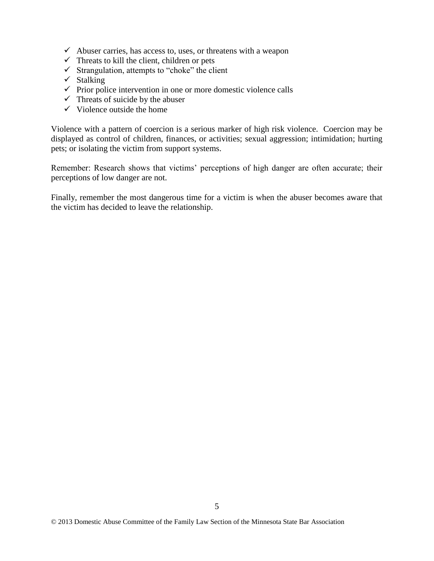- $\checkmark$  Abuser carries, has access to, uses, or threatens with a weapon
- $\checkmark$  Threats to kill the client, children or pets
- $\checkmark$  Strangulation, attempts to "choke" the client
- $\checkmark$  Stalking
- $\checkmark$  Prior police intervention in one or more domestic violence calls
- $\checkmark$  Threats of suicide by the abuser
- $\checkmark$  Violence outside the home

Violence with a pattern of coercion is a serious marker of high risk violence. Coercion may be displayed as control of children, finances, or activities; sexual aggression; intimidation; hurting pets; or isolating the victim from support systems.

Remember: Research shows that victims' perceptions of high danger are often accurate; their perceptions of low danger are not.

Finally, remember the most dangerous time for a victim is when the abuser becomes aware that the victim has decided to leave the relationship.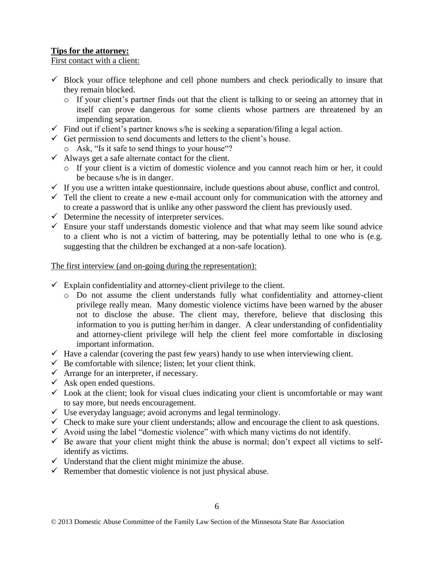# **Tips for the attorney:**

### First contact with a client:

- $\checkmark$  Block your office telephone and cell phone numbers and check periodically to insure that they remain blocked.
	- $\circ$  If your client's partner finds out that the client is talking to or seeing an attorney that in itself can prove dangerous for some clients whose partners are threatened by an impending separation.
- $\checkmark$  Find out if client's partner knows s/he is seeking a separation/filing a legal action.
- $\checkmark$  Get permission to send documents and letters to the client's house.
- o Ask, "Is it safe to send things to your house"?
- $\checkmark$  Always get a safe alternate contact for the client.
	- o If your client is a victim of domestic violence and you cannot reach him or her, it could be because s/he is in danger.
- $\checkmark$  If you use a written intake questionnaire, include questions about abuse, conflict and control.
- $\checkmark$  Tell the client to create a new e-mail account only for communication with the attorney and to create a password that is unlike any other password the client has previously used.
- $\checkmark$  Determine the necessity of interpreter services.
- $\checkmark$  Ensure your staff understands domestic violence and that what may seem like sound advice to a client who is not a victim of battering, may be potentially lethal to one who is (e.g. suggesting that the children be exchanged at a non-safe location).

# The first interview (and on-going during the representation):

- $\checkmark$  Explain confidentiality and attorney-client privilege to the client.
	- o Do not assume the client understands fully what confidentiality and attorney-client privilege really mean. Many domestic violence victims have been warned by the abuser not to disclose the abuse. The client may, therefore, believe that disclosing this information to you is putting her/him in danger. A clear understanding of confidentiality and attorney-client privilege will help the client feel more comfortable in disclosing important information.
- $\checkmark$  Have a calendar (covering the past few years) handy to use when interviewing client.
- $\checkmark$  Be comfortable with silence; listen; let your client think.
- $\checkmark$  Arrange for an interpreter, if necessary.
- $\checkmark$  Ask open ended questions.
- $\checkmark$  Look at the client; look for visual clues indicating your client is uncomfortable or may want to say more, but needs encouragement.
- $\checkmark$  Use everyday language; avoid acronyms and legal terminology.
- $\checkmark$  Check to make sure your client understands; allow and encourage the client to ask questions.
- $\checkmark$  Avoid using the label "domestic violence" with which many victims do not identify.
- $\checkmark$  Be aware that your client might think the abuse is normal; don't expect all victims to selfidentify as victims.
- $\checkmark$  Understand that the client might minimize the abuse.
- $\checkmark$  Remember that domestic violence is not just physical abuse.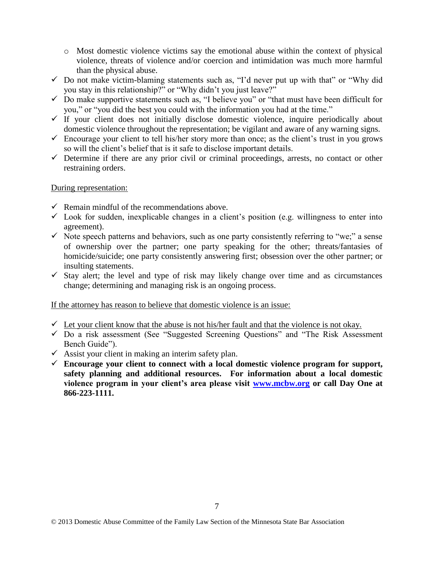- o Most domestic violence victims say the emotional abuse within the context of physical violence, threats of violence and/or coercion and intimidation was much more harmful than the physical abuse.
- $\checkmark$  Do not make victim-blaming statements such as, "I'd never put up with that" or "Why did you stay in this relationship?" or "Why didn't you just leave?"
- $\checkmark$  Do make supportive statements such as, "I believe you" or "that must have been difficult for you," or "you did the best you could with the information you had at the time."
- $\checkmark$  If your client does not initially disclose domestic violence, inquire periodically about domestic violence throughout the representation; be vigilant and aware of any warning signs.
- $\checkmark$  Encourage your client to tell his/her story more than once; as the client's trust in you grows so will the client's belief that is it safe to disclose important details.
- $\checkmark$  Determine if there are any prior civil or criminal proceedings, arrests, no contact or other restraining orders.

### During representation:

- $\checkmark$  Remain mindful of the recommendations above.
- $\checkmark$  Look for sudden, inexplicable changes in a client's position (e.g. willingness to enter into agreement).
- $\checkmark$  Note speech patterns and behaviors, such as one party consistently referring to "we;" a sense of ownership over the partner; one party speaking for the other; threats/fantasies of homicide/suicide; one party consistently answering first; obsession over the other partner; or insulting statements.
- $\checkmark$  Stay alert; the level and type of risk may likely change over time and as circumstances change; determining and managing risk is an ongoing process.

If the attorney has reason to believe that domestic violence is an issue:

- $\checkmark$  Let your client know that the abuse is not his/her fault and that the violence is not okay.
- $\checkmark$  Do a risk assessment (See "Suggested Screening Questions" and "The Risk Assessment Bench Guide").
- $\checkmark$  Assist your client in making an interim safety plan.
- $\checkmark$  Encourage your client to connect with a local domestic violence program for support, **safety planning and additional resources. For information about a local domestic violence program in your client's area please visit [www.mcbw.org](http://www.mcbw.org/) or call Day One at 866-223-1111.**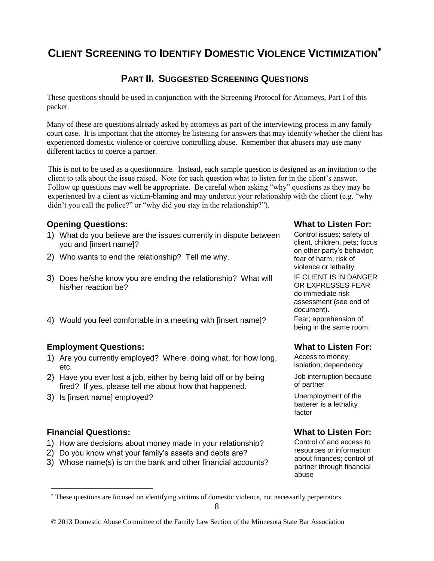# **CLIENT SCREENING TO IDENTIFY DOMESTIC VIOLENCE VICTIMIZATION**

# **PART II. SUGGESTED SCREENING QUESTIONS**

These questions should be used in conjunction with the Screening Protocol for Attorneys, Part I of this packet.

Many of these are questions already asked by attorneys as part of the interviewing process in any family court case. It is important that the attorney be listening for answers that may identify whether the client has experienced domestic violence or coercive controlling abuse. Remember that abusers may use many different tactics to coerce a partner.

This is not to be used as a questionnaire. Instead, each sample question is designed as an invitation to the client to talk about the issue raised. Note for each question what to listen for in the client's answer. Follow up questions may well be appropriate. Be careful when asking "why" questions as they may be experienced by a client as victim-blaming and may undercut your relationship with the client (e.g. "why didn't you call the police?" or "why did you stay in the relationship?").

# **Opening Questions: What to Listen For:**

- 1) What do you believe are the issues currently in dispute between you and [insert name]?
- 2) Who wants to end the relationship? Tell me why.
- 3) Does he/she know you are ending the relationship? What will his/her reaction be?
- 4) Would you feel comfortable in a meeting with [insert name]? Fear; apprehension of

# **Employment Questions: What to Listen For:**

- 1) Are you currently employed? Where, doing what, for how long, etc.
- 2) Have you ever lost a job, either by being laid off or by being fired? If yes, please tell me about how that happened.
- 3) Is [insert name] employed? Unemployment of the

# **Financial Questions: What to Listen For:**

 $\overline{a}$ 

- 1) How are decisions about money made in your relationship? Control of and access to
- 2) Do you know what your family's assets and debts are?
- 3) Whose name(s) is on the bank and other financial accounts?

Control issues; safety of client, children, pets; focus on other party's behavior; fear of harm, risk of violence or lethality IF CLIENT IS IN DANGER OR EXPRESSES FEAR do immediate risk assessment (see end of document). being in the same room.

Access to money; isolation; dependency Job interruption because

of partner

batterer is a lethality factor

resources or information about finances; control of partner through financial abuse

These questions are focused on identifying victims of domestic violence, not necessarily perpetrators

<sup>© 2013</sup> Domestic Abuse Committee of the Family Law Section of the Minnesota State Bar Association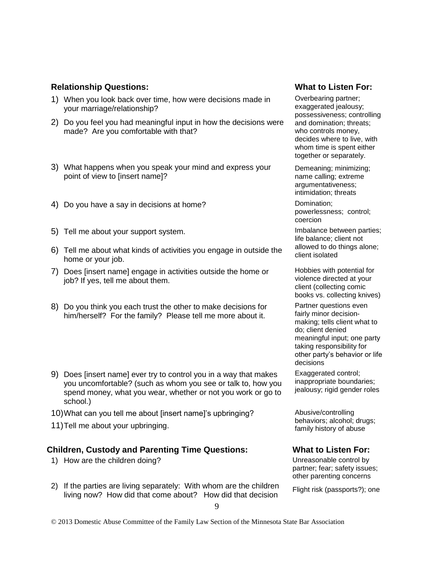### **Relationship Questions: What to Listen For:**

- 1) When you look back over time, how were decisions made in your marriage/relationship?
- 2) Do you feel you had meaningful input in how the decisions were made? Are you comfortable with that?
- 3) What happens when you speak your mind and express your point of view to [insert name]?
- 4) Do you have a say in decisions at home? Domination;
- 5) Tell me about your support system.
- 6) Tell me about what kinds of activities you engage in outside the  $\frac{d\text{div}}{d\text{det}}$  isolated home or your job.
- 7) Does [insert name] engage in activities outside the home or job? If yes, tell me about them.
- 8) Do you think you each trust the other to make decisions for him/herself? For the family? Please tell me more about it.
- 9) Does [insert name] ever try to control you in a way that makes you uncomfortable? (such as whom you see or talk to, how you spend money, what you wear, whether or not you work or go to school.)
- 10)What can you tell me about [insert name]'s upbringing? Abusive/controlling
- family history of about your upbringing.<br>
family history of abuse

# **Children, Custody and Parenting Time Questions: What to Listen For:**

- 1) How are the children doing? Unreasonable control by
- 2) If the parties are living separately: With whom are the children If the parties are living separately. With whom are the children Flight risk (passports?); one living now? How did that come about? How did that decision

Overbearing partner; exaggerated jealousy; possessiveness; controlling and domination; threats; who controls money, decides where to live, with whom time is spent either together or separately.

Demeaning; minimizing; name calling; extreme argumentativeness; intimidation; threats

powerlessness; control; coercion

life balance; client not allowed to do things alone;

Hobbies with potential for violence directed at your client (collecting comic books vs. collecting knives)

Partner questions even fairly minor decisionmaking; tells client what to do; client denied meaningful input; one party taking responsibility for other party's behavior or life decisions

Exaggerated control; inappropriate boundaries; jealousy; rigid gender roles

behaviors; alcohol; drugs;

partner; fear; safety issues; other parenting concerns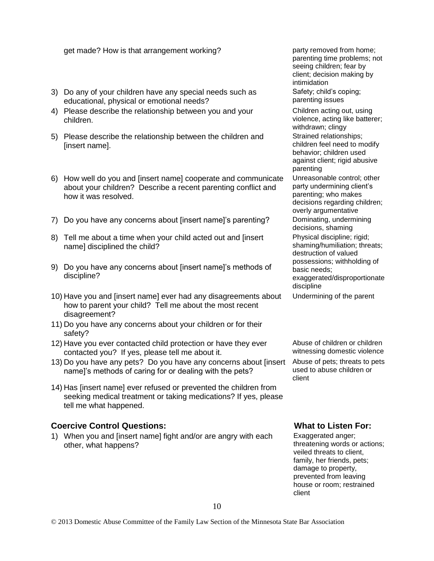### get made? How is that arrangement working? party removed from home;

- 3) Do any of your children have any special needs such as educational, physical or emotional needs?
- 4) Please describe the relationship between you and your children.
- 5) Please describe the relationship between the children and [insert name].
- 6) How well do you and [insert name] cooperate and communicate about your children? Describe a recent parenting conflict and how it was resolved.
- 7) Do you have any concerns about [insert name]'s parenting? Dominating, undermining
- 8) Tell me about a time when your child acted out and [insert name] disciplined the child?
- 9) Do you have any concerns about [insert name]'s methods of discipline?
- 10) Have you and [insert name] ever had any disagreements about how to parent your child? Tell me about the most recent disagreement?
- 11) Do you have any concerns about your children or for their safety?
- 12) Have you ever contacted child protection or have they ever contacted you? If yes, please tell me about it.
- 13) Do you have any pets? Do you have any concerns about [insert name]'s methods of caring for or dealing with the pets?
- 14) Has [insert name] ever refused or prevented the children from seeking medical treatment or taking medications? If yes, please tell me what happened.

# **Coercive Control Questions: What to Listen For:**

1) When you and [insert name] fight and/or are angry with each other, what happens?

parenting time problems; not seeing children; fear by client; decision making by intimidation Safety; child's coping;

parenting issues

Children acting out, using violence, acting like batterer; withdrawn; clingy Strained relationships; children feel need to modify behavior; children used against client; rigid abusive parenting

Unreasonable control; other party undermining client's parenting; who makes decisions regarding children; overly argumentative decisions, shaming

Physical discipline; rigid;

shaming/humiliation; threats; destruction of valued

possessions; withholding of basic needs;

exaggerated/disproportionate discipline

Undermining of the parent

Abuse of children or children witnessing domestic violence

Abuse of pets; threats to pets used to abuse children or client

Exaggerated anger; threatening words or actions; veiled threats to client, family, her friends, pets; damage to property, prevented from leaving house or room; restrained client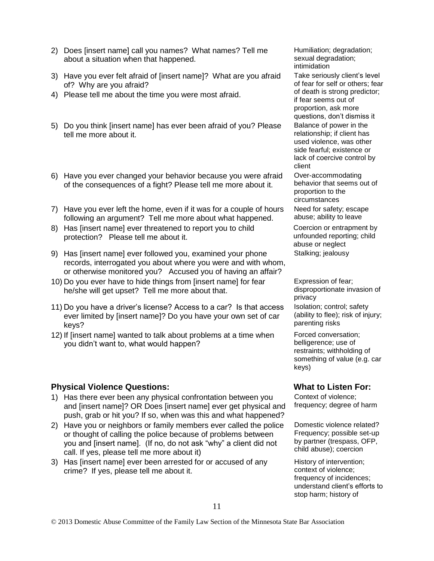- 2) Does [insert name] call you names? What names? Tell me about a situation when that happened.
- 3) Have you ever felt afraid of [insert name]? What are you afraid of? Why are you afraid?
- 4) Please tell me about the time you were most afraid.
- 5) Do you think [insert name] has ever been afraid of you? Please tell me more about it.
- 6) Have you ever changed your behavior because you were afraid of the consequences of a fight? Please tell me more about it.
- 7) Have you ever left the home, even if it was for a couple of hours following an argument? Tell me more about what happened.
- 8) Has [insert name] ever threatened to report you to child protection? Please tell me about it.
- 9) Has [insert name] ever followed you, examined your phone records, interrogated you about where you were and with whom, or otherwise monitored you? Accused you of having an affair?
- 10) Do you ever have to hide things from [insert name] for fear he/she will get upset? Tell me more about that.
- 11) Do you have a driver's license? Access to a car? Is that access ever limited by [insert name]? Do you have your own set of car keys?
- 12) If [insert name] wanted to talk about problems at a time when you didn't want to, what would happen?

# **Physical Violence Questions: What to Listen For: What to Listen For:**

- 1) Has there ever been any physical confrontation between you and [insert name]? OR Does [insert name] ever get physical and push, grab or hit you? If so, when was this and what happened?
- 2) Have you or neighbors or family members ever called the police or thought of calling the police because of problems between you and [insert name]. (If no, do not ask "why" a client did not call. If yes, please tell me more about it)
- 3) Has [insert name] ever been arrested for or accused of any crime? If yes, please tell me about it.

Humiliation; degradation; sexual degradation; intimidation

Take seriously client's level of fear for self or others; fear of death is strong predictor; if fear seems out of proportion, ask more questions, don't dismiss it

Balance of power in the relationship; if client has used violence, was other side fearful; existence or lack of coercive control by client

Over-accommodating behavior that seems out of proportion to the circumstances Need for safety; escape abuse; ability to leave

Coercion or entrapment by unfounded reporting; child abuse or neglect Stalking; jealousy

Expression of fear; disproportionate invasion of privacy Isolation; control; safety (ability to flee); risk of injury; parenting risks

Forced conversation; belligerence; use of restraints; withholding of something of value (e.g. car keys)

Context of violence; frequency; degree of harm

Domestic violence related? Frequency; possible set-up by partner (trespass, OFP, child abuse); coercion

History of intervention; context of violence; frequency of incidences; understand client's efforts to stop harm; history of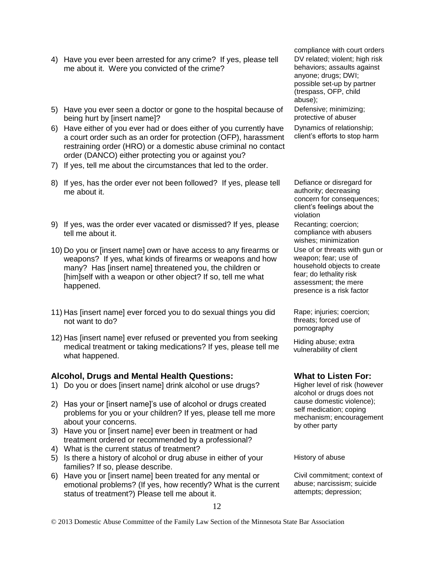- 4) Have you ever been arrested for any crime? If yes, please tell me about it. Were you convicted of the crime?
- 5) Have you ever seen a doctor or gone to the hospital because of being hurt by [insert name]?
- 6) Have either of you ever had or does either of you currently have a court order such as an order for protection (OFP), harassment restraining order (HRO) or a domestic abuse criminal no contact order (DANCO) either protecting you or against you?
- 7) If yes, tell me about the circumstances that led to the order.
- 8) If yes, has the order ever not been followed? If yes, please tell me about it.
- 9) If yes, was the order ever vacated or dismissed? If yes, please tell me about it.
- 10) Do you or [insert name] own or have access to any firearms or weapons? If yes, what kinds of firearms or weapons and how many? Has [insert name] threatened you, the children or [him]self with a weapon or other object? If so, tell me what happened.
- 11) Has [insert name] ever forced you to do sexual things you did not want to do?
- 12) Has [insert name] ever refused or prevented you from seeking medical treatment or taking medications? If yes, please tell me what happened.

### **Alcohol, Drugs and Mental Health Questions: What to Listen For:**

- 1) Do you or does [insert name] drink alcohol or use drugs? Higher level of risk (however
- 2) Has your or [insert name]'s use of alcohol or drugs created problems for you or your children? If yes, please tell me more about your concerns.
- 3) Have you or [insert name] ever been in treatment or had treatment ordered or recommended by a professional?
- 4) What is the current status of treatment?
- 5) Is there a history of alcohol or drug abuse in either of your families? If so, please describe.
- 6) Have you or [insert name] been treated for any mental or emotional problems? (If yes, how recently? What is the current status of treatment?) Please tell me about it.

compliance with court orders DV related; violent; high risk behaviors; assaults against anyone; drugs; DWI; possible set-up by partner (trespass, OFP, child abuse);

Defensive; minimizing; protective of abuser

Dynamics of relationship; client's efforts to stop harm

Defiance or disregard for authority; decreasing concern for consequences; client's feelings about the violation Recanting; coercion;

compliance with abusers wishes; minimization

Use of or threats with gun or weapon; fear; use of household objects to create fear; do lethality risk assessment; the mere presence is a risk factor

Rape; injuries; coercion; threats; forced use of pornography

Hiding abuse; extra vulnerability of client

alcohol or drugs does not cause domestic violence); self medication; coping mechanism; encouragement by other party

History of abuse

Civil commitment; context of abuse; narcissism; suicide attempts; depression;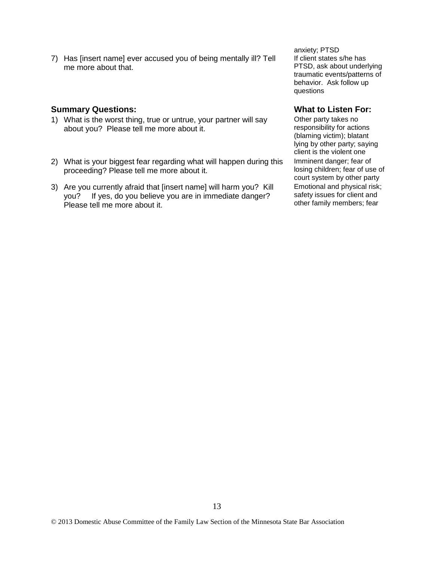7) Has [insert name] ever accused you of being mentally ill? Tell me more about that.

### **Summary Questions: What to Listen For: What to Listen For:**

- 1) What is the worst thing, true or untrue, your partner will say about you? Please tell me more about it.
- 2) What is your biggest fear regarding what will happen during this proceeding? Please tell me more about it.
- 3) Are you currently afraid that [insert name] will harm you? Kill you? If yes, do you believe you are in immediate danger? Please tell me more about it.

anxiety; PTSD If client states s/he has PTSD, ask about underlying traumatic events/patterns of behavior. Ask follow up questions

Other party takes no responsibility for actions (blaming victim); blatant lying by other party; saying client is the violent one Imminent danger; fear of losing children; fear of use of court system by other party Emotional and physical risk; safety issues for client and other family members; fear